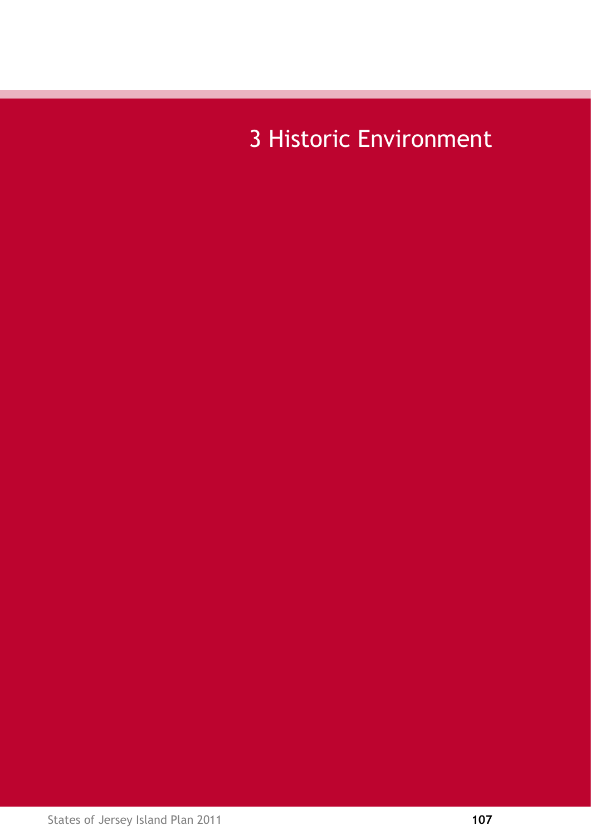3 Historic Environment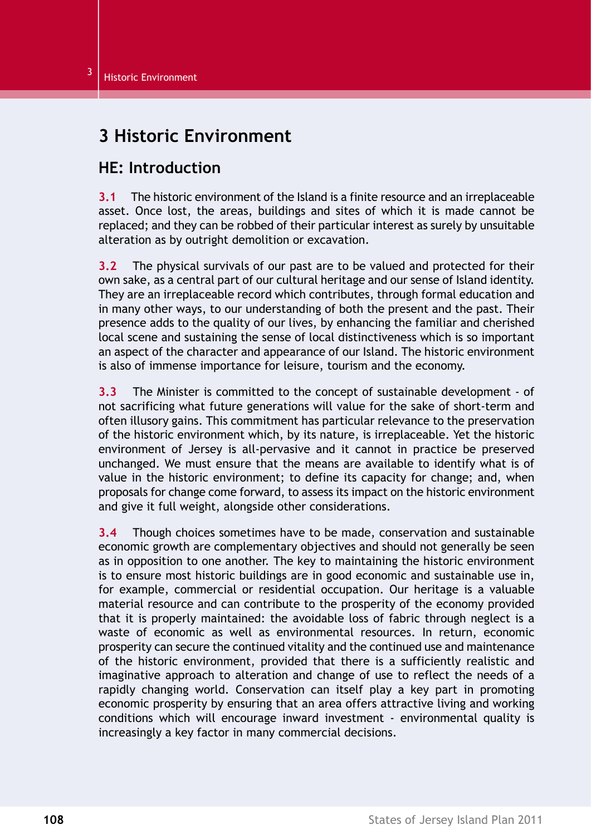# **3 Historic Environment**

## **HE: Introduction**

**3.1** The historic environment of the Island is a finite resource and an irreplaceable asset. Once lost, the areas, buildings and sites of which it is made cannot be replaced; and they can be robbed of their particular interest as surely by unsuitable alteration as by outright demolition or excavation.

**3.2** The physical survivals of our past are to be valued and protected for their own sake, as a central part of our cultural heritage and our sense of Island identity. They are an irreplaceable record which contributes, through formal education and in many other ways, to our understanding of both the present and the past. Their presence adds to the quality of our lives, by enhancing the familiar and cherished local scene and sustaining the sense of local distinctiveness which is so important an aspect of the character and appearance of our Island. The historic environment is also of immense importance for leisure, tourism and the economy.

**3.3** The Minister is committed to the concept of sustainable development - of not sacrificing what future generations will value for the sake of short-term and often illusory gains. This commitment has particular relevance to the preservation of the historic environment which, by its nature, is irreplaceable. Yet the historic environment of Jersey is all-pervasive and it cannot in practice be preserved unchanged. We must ensure that the means are available to identify what is of value in the historic environment; to define its capacity for change; and, when proposals for change come forward, to assess its impact on the historic environment and give it full weight, alongside other considerations.

**3.4** Though choices sometimes have to be made, conservation and sustainable economic growth are complementary objectives and should not generally be seen as in opposition to one another. The key to maintaining the historic environment is to ensure most historic buildings are in good economic and sustainable use in, for example, commercial or residential occupation. Our heritage is a valuable material resource and can contribute to the prosperity of the economy provided that it is properly maintained: the avoidable loss of fabric through neglect is a waste of economic as well as environmental resources. In return, economic prosperity can secure the continued vitality and the continued use and maintenance of the historic environment, provided that there is a sufficiently realistic and imaginative approach to alteration and change of use to reflect the needs of a rapidly changing world. Conservation can itself play a key part in promoting economic prosperity by ensuring that an area offers attractive living and working conditions which will encourage inward investment - environmental quality is increasingly a key factor in many commercial decisions.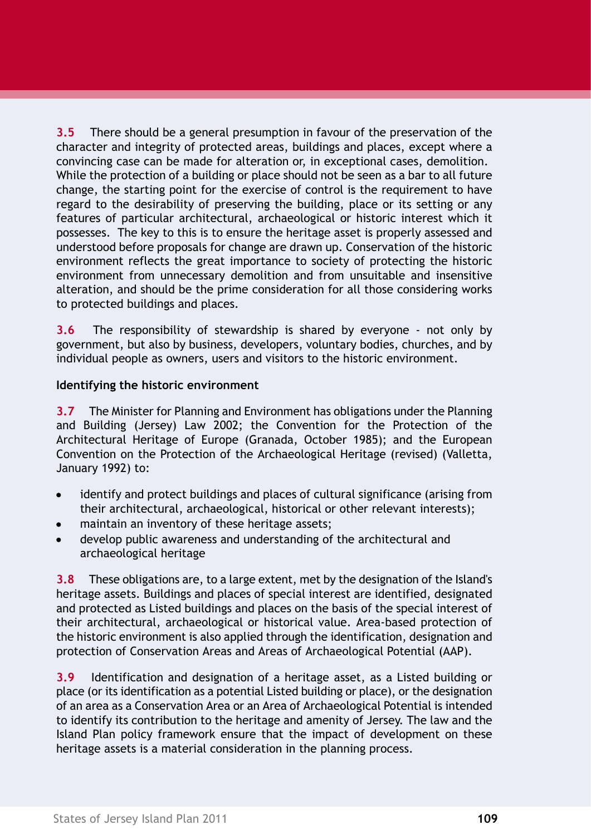**3.5** There should be a general presumption in favour of the preservation of the character and integrity of protected areas, buildings and places, except where a convincing case can be made for alteration or, in exceptional cases, demolition. While the protection of a building or place should not be seen as a bar to all future change, the starting point for the exercise of control is the requirement to have regard to the desirability of preserving the building, place or its setting or any features of particular architectural, archaeological or historic interest which it possesses. The key to this is to ensure the heritage asset is properly assessed and understood before proposals for change are drawn up. Conservation of the historic environment reflects the great importance to society of protecting the historic environment from unnecessary demolition and from unsuitable and insensitive alteration, and should be the prime consideration for all those considering works to protected buildings and places.

**3.6** The responsibility of stewardship is shared by everyone - not only by government, but also by business, developers, voluntary bodies, churches, and by individual people as owners, users and visitors to the historic environment.

#### **Identifying the historic environment**

**3.7** The Minister for Planning and Environment has obligations under the Planning and Building (Jersey) Law 2002; the Convention for the Protection of the Architectural Heritage of Europe (Granada, October 1985); and the European Convention on the Protection of the Archaeological Heritage (revised) (Valletta, January 1992) to:

- identify and protect buildings and places of cultural significance (arising from  $\bullet$ their architectural, archaeological, historical or other relevant interests);
- maintain an inventory of these heritage assets;
- develop public awareness and understanding of the architectural and archaeological heritage

**3.8** These obligations are, to a large extent, met by the designation of the Island's heritage assets. Buildings and places of special interest are identified, designated and protected as Listed buildings and places on the basis of the special interest of their architectural, archaeological or historical value. Area-based protection of the historic environment is also applied through the identification, designation and protection of Conservation Areas and Areas of Archaeological Potential (AAP).

**3.9** Identification and designation of a heritage asset, as a Listed building or place (or its identification as a potential Listed building or place), or the designation of an area as a Conservation Area or an Area of Archaeological Potential is intended to identify its contribution to the heritage and amenity of Jersey. The law and the Island Plan policy framework ensure that the impact of development on these heritage assets is a material consideration in the planning process.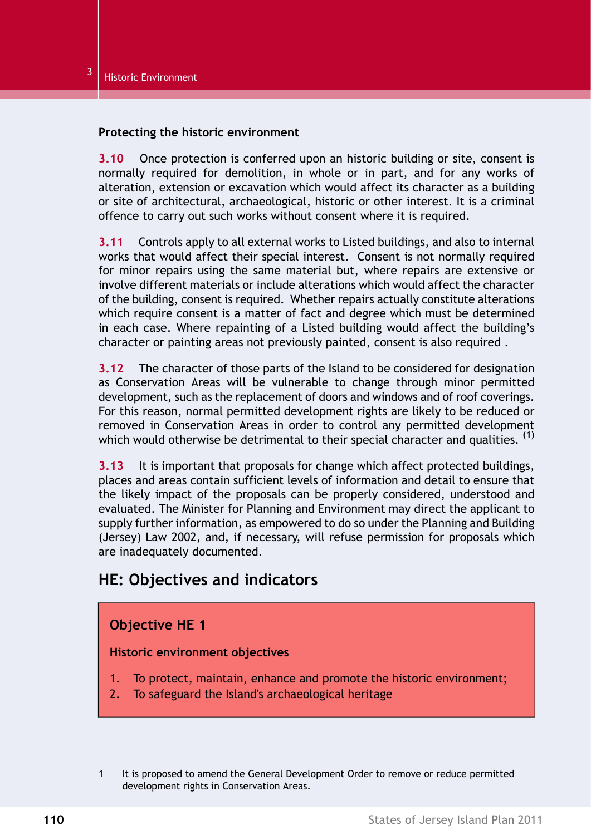#### **Protecting the historic environment**

**3.10** Once protection is conferred upon an historic building or site, consent is normally required for demolition, in whole or in part, and for any works of alteration, extension or excavation which would affect its character as a building or site of architectural, archaeological, historic or other interest. It is a criminal offence to carry out such works without consent where it is required.

**3.11** Controls apply to all external works to Listed buildings, and also to internal works that would affect their special interest. Consent is not normally required for minor repairs using the same material but, where repairs are extensive or involve different materials or include alterations which would affect the character of the building, consent is required. Whether repairs actually constitute alterations which require consent is a matter of fact and degree which must be determined in each case. Where repainting of a Listed building would affect the building's character or painting areas not previously painted, consent is also required .

**3.12** The character of those parts of the Island to be considered for designation as Conservation Areas will be vulnerable to change through minor permitted development, such as the replacement of doors and windows and of roof coverings. For this reason, normal permitted development rights are likely to be reduced or removed in Conservation Areas in order to control any permitted development which would otherwise be detrimental to their special character and qualities. **(1)**

**3.13** It is important that proposals for change which affect protected buildings, places and areas contain sufficient levels of information and detail to ensure that the likely impact of the proposals can be properly considered, understood and evaluated. The Minister for Planning and Environment may direct the applicant to supply further information, as empowered to do so under the Planning and Building (Jersey) Law 2002, and, if necessary, will refuse permission for proposals which are inadequately documented.

# **HE: Objectives and indicators**

### **Objective HE 1**

#### **Historic environment objectives**

- 1. To protect, maintain, enhance and promote the historic environment;
- 2. To safeguard the Island's archaeological heritage

<sup>1</sup> It is proposed to amend the General Development Order to remove or reduce permitted development rights in Conservation Areas.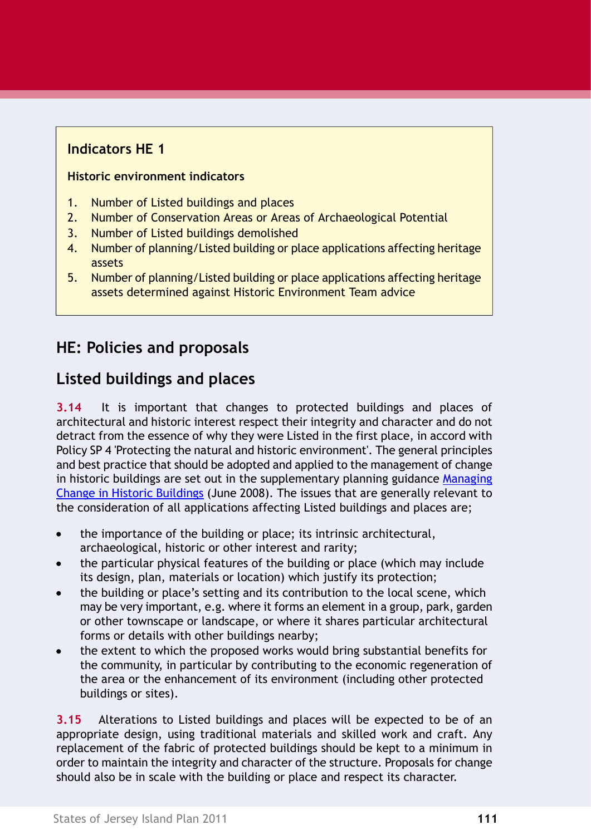# **Indicators HE 1**

### **Historic environment indicators**

- 1. Number of Listed buildings and places
- 2. Number of Conservation Areas or Areas of Archaeological Potential
- 3. Number of Listed buildings demolished
- 4. Number of planning/Listed building or place applications affecting heritage assets
- 5. Number of planning/Listed building or place applications affecting heritage assets determined against Historic Environment Team advice

# **HE: Policies and proposals**

# **Listed buildings and places**

**3.14** It is important that changes to protected buildings and places of architectural and historic interest respect their integrity and character and do not detract from the essence of why they were Listed in the first place, in accord with Policy SP 4 'Protecting the natural and historic environment'. The general principles and best practice that should be adopted and applied to the management of change in historic buildings are set out in the supplementary planning guidance [Managing](http://www.gov.je/planningbuilding/lawsregs/islandplan/islandplan2002/Pages/index.aspx) Change in Historic [Buildings](http://www.gov.je/planningbuilding/lawsregs/islandplan/islandplan2002/Pages/index.aspx) (June 2008). The issues that are generally relevant to the consideration of all applications affecting Listed buildings and places are;

- the importance of the building or place; its intrinsic architectural,  $\bullet$ archaeological, historic or other interest and rarity;
- the particular physical features of the building or place (which may include its design, plan, materials or location) which justify its protection;
- the building or place's setting and its contribution to the local scene, which may be very important, e.g. where it forms an element in a group, park, garden or other townscape or landscape, or where it shares particular architectural forms or details with other buildings nearby;
- the extent to which the proposed works would bring substantial benefits for the community, in particular by contributing to the economic regeneration of the area or the enhancement of its environment (including other protected buildings or sites).

**3.15** Alterations to Listed buildings and places will be expected to be of an appropriate design, using traditional materials and skilled work and craft. Any replacement of the fabric of protected buildings should be kept to a minimum in order to maintain the integrity and character of the structure. Proposals for change should also be in scale with the building or place and respect its character.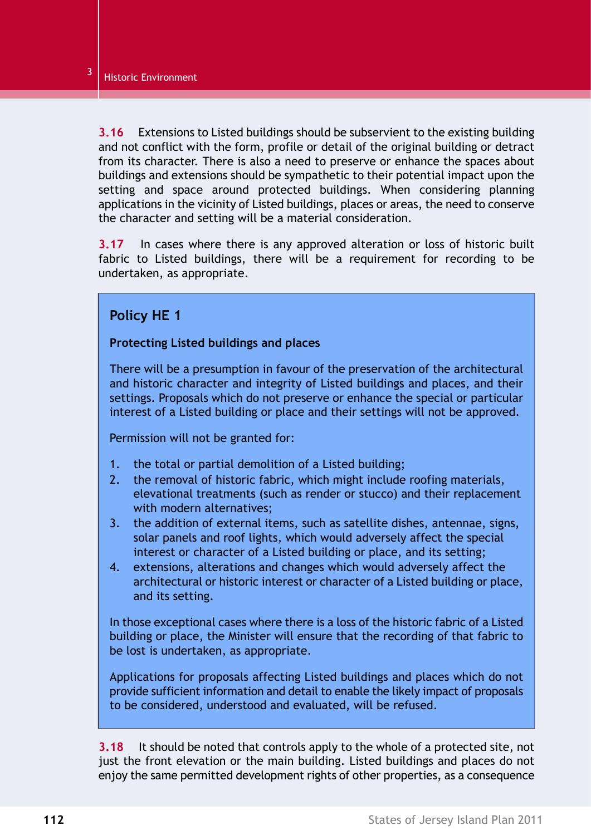**3.16** Extensions to Listed buildings should be subservient to the existing building and not conflict with the form, profile or detail of the original building or detract from its character. There is also a need to preserve or enhance the spaces about buildings and extensions should be sympathetic to their potential impact upon the setting and space around protected buildings. When considering planning applications in the vicinity of Listed buildings, places or areas, the need to conserve the character and setting will be a material consideration.

<span id="page-5-0"></span>**3.17** In cases where there is any approved alteration or loss of historic built fabric to Listed buildings, there will be a requirement for recording to be undertaken, as appropriate.

### **Policy HE 1**

#### **Protecting Listed buildings and places**

There will be a presumption in favour of the preservation of the architectural and historic character and integrity of Listed buildings and places, and their settings. Proposals which do not preserve or enhance the special or particular interest of a Listed building or place and their settings will not be approved.

Permission will not be granted for:

- 1. the total or partial demolition of a Listed building;
- 2. the removal of historic fabric, which might include roofing materials, elevational treatments (such as render or stucco) and their replacement with modern alternatives;
- 3. the addition of external items, such as satellite dishes, antennae, signs, solar panels and roof lights, which would adversely affect the special interest or character of a Listed building or place, and its setting;
- 4. extensions, alterations and changes which would adversely affect the architectural or historic interest or character of a Listed building or place, and its setting.

In those exceptional cases where there is a loss of the historic fabric of a Listed building or place, the Minister will ensure that the recording of that fabric to be lost is undertaken, as appropriate.

Applications for proposals affecting Listed buildings and places which do not provide sufficient information and detail to enable the likely impact of proposals to be considered, understood and evaluated, will be refused.

**3.18** It should be noted that controls apply to the whole of a protected site, not just the front elevation or the main building. Listed buildings and places do not enjoy the same permitted development rights of other properties, as a consequence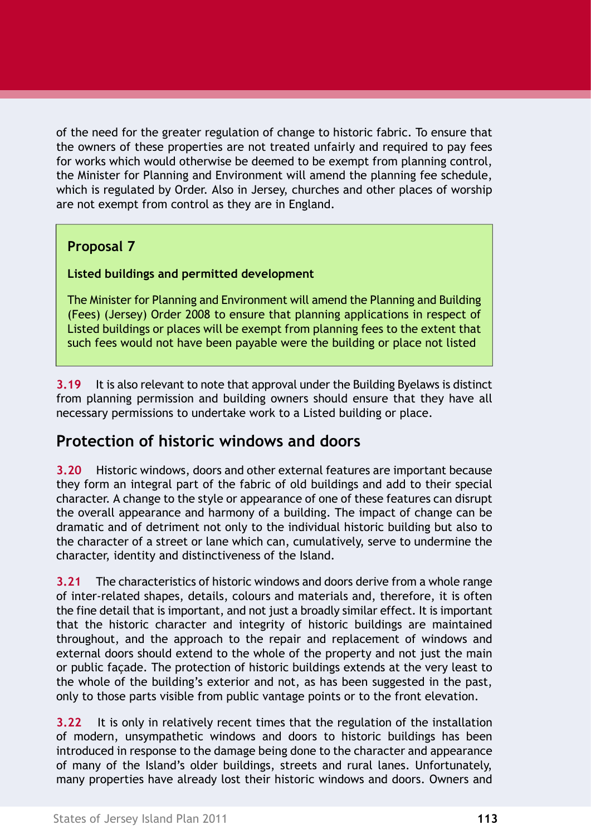of the need for the greater regulation of change to historic fabric. To ensure that the owners of these properties are not treated unfairly and required to pay fees for works which would otherwise be deemed to be exempt from planning control, the Minister for Planning and Environment will amend the planning fee schedule, which is regulated by Order. Also in Jersey, churches and other places of worship are not exempt from control as they are in England.

### **Proposal 7**

### **Listed buildings and permitted development**

The Minister for Planning and Environment will amend the Planning and Building (Fees) (Jersey) Order 2008 to ensure that planning applications in respect of Listed buildings or places will be exempt from planning fees to the extent that such fees would not have been payable were the building or place not listed

**3.19** It is also relevant to note that approval under the Building Byelaws is distinct from planning permission and building owners should ensure that they have all necessary permissions to undertake work to a Listed building or place.

# **Protection of historic windows and doors**

**3.20** Historic windows, doors and other external features are important because they form an integral part of the fabric of old buildings and add to their special character. A change to the style or appearance of one of these features can disrupt the overall appearance and harmony of a building. The impact of change can be dramatic and of detriment not only to the individual historic building but also to the character of a street or lane which can, cumulatively, serve to undermine the character, identity and distinctiveness of the Island.

**3.21** The characteristics of historic windows and doors derive from a whole range of inter-related shapes, details, colours and materials and, therefore, it is often the fine detail that is important, and not just a broadly similar effect. It is important that the historic character and integrity of historic buildings are maintained throughout, and the approach to the repair and replacement of windows and external doors should extend to the whole of the property and not just the main or public façade. The protection of historic buildings extends at the very least to the whole of the building's exterior and not, as has been suggested in the past, only to those parts visible from public vantage points or to the front elevation.

**3.22** It is only in relatively recent times that the regulation of the installation of modern, unsympathetic windows and doors to historic buildings has been introduced in response to the damage being done to the character and appearance of many of the Island's older buildings, streets and rural lanes. Unfortunately, many properties have already lost their historic windows and doors. Owners and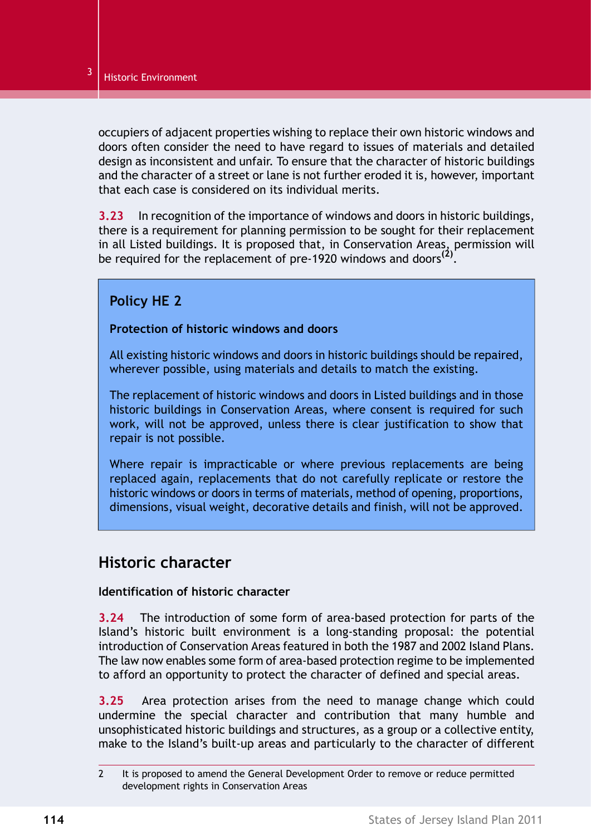occupiers of adjacent properties wishing to replace their own historic windows and doors often consider the need to have regard to issues of materials and detailed design as inconsistent and unfair. To ensure that the character of historic buildings and the character of a street or lane is not further eroded it is, however, important that each case is considered on its individual merits.

**3.23** In recognition of the importance of windows and doors in historic buildings, there is a requirement for planning permission to be sought for their replacement in all Listed buildings. It is proposed that, in Conservation Areas, permission will be required for the replacement of pre-1920 windows and doors**(2)** .

## **Policy HE 2**

#### **Protection of historic windows and doors**

All existing historic windows and doors in historic buildings should be repaired, wherever possible, using materials and details to match the existing.

The replacement of historic windows and doors in Listed buildings and in those historic buildings in Conservation Areas, where consent is required for such work, will not be approved, unless there is clear justification to show that repair is not possible.

Where repair is impracticable or where previous replacements are being replaced again, replacements that do not carefully replicate or restore the historic windows or doors in terms of materials, method of opening, proportions, dimensions, visual weight, decorative details and finish, will not be approved.

# **Historic character**

### **Identification of historic character**

**3.24** The introduction of some form of area-based protection for parts of the Island's historic built environment is a long-standing proposal: the potential introduction of Conservation Areas featured in both the 1987 and 2002 Island Plans. The law now enables some form of area-based protection regime to be implemented to afford an opportunity to protect the character of defined and special areas.

**3.25** Area protection arises from the need to manage change which could undermine the special character and contribution that many humble and unsophisticated historic buildings and structures, as a group or a collective entity, make to the Island's built-up areas and particularly to the character of different

<sup>2</sup> It is proposed to amend the General Development Order to remove or reduce permitted development rights in Conservation Areas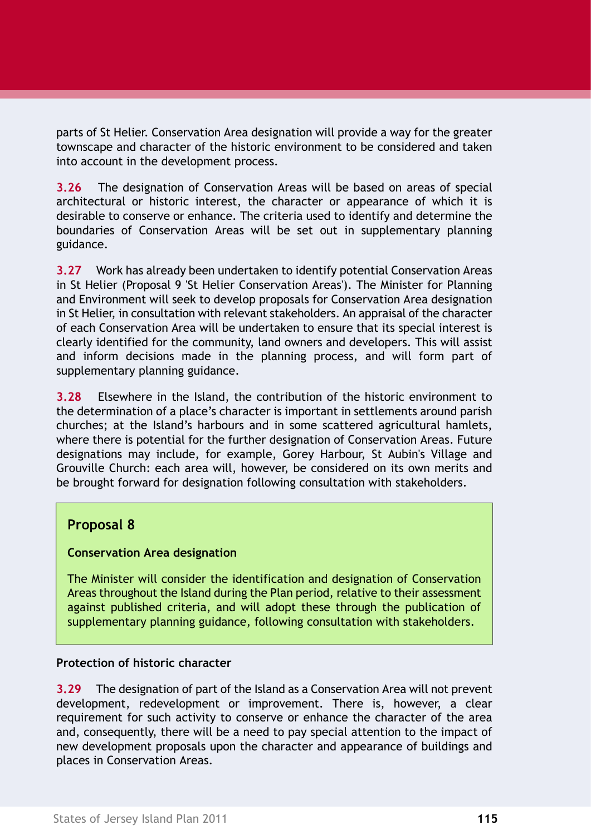parts of St Helier. Conservation Area designation will provide a way for the greater townscape and character of the historic environment to be considered and taken into account in the development process.

**3.26** The designation of Conservation Areas will be based on areas of special architectural or historic interest, the character or appearance of which it is desirable to conserve or enhance. The criteria used to identify and determine the boundaries of Conservation Areas will be set out in supplementary planning guidance.

**3.27** Work has already been undertaken to identify potential Conservation Areas in St Helier (Proposal 9 'St Helier Conservation Areas'). The Minister for Planning and Environment will seek to develop proposals for Conservation Area designation in St Helier, in consultation with relevant stakeholders. An appraisal of the character of each Conservation Area will be undertaken to ensure that its special interest is clearly identified for the community, land owners and developers. This will assist and inform decisions made in the planning process, and will form part of supplementary planning guidance.

**3.28** Elsewhere in the Island, the contribution of the historic environment to the determination of a place's character is important in settlements around parish churches; at the Island's harbours and in some scattered agricultural hamlets, where there is potential for the further designation of Conservation Areas. Future designations may include, for example, Gorey Harbour, St Aubin's Village and Grouville Church: each area will, however, be considered on its own merits and be brought forward for designation following consultation with stakeholders.

### **Proposal 8**

### **Conservation Area designation**

The Minister will consider the identification and designation of Conservation Areas throughout the Island during the Plan period, relative to their assessment against published criteria, and will adopt these through the publication of supplementary planning guidance, following consultation with stakeholders.

#### **Protection of historic character**

**3.29** The designation of part of the Island as a Conservation Area will not prevent development, redevelopment or improvement. There is, however, a clear requirement for such activity to conserve or enhance the character of the area and, consequently, there will be a need to pay special attention to the impact of new development proposals upon the character and appearance of buildings and places in Conservation Areas.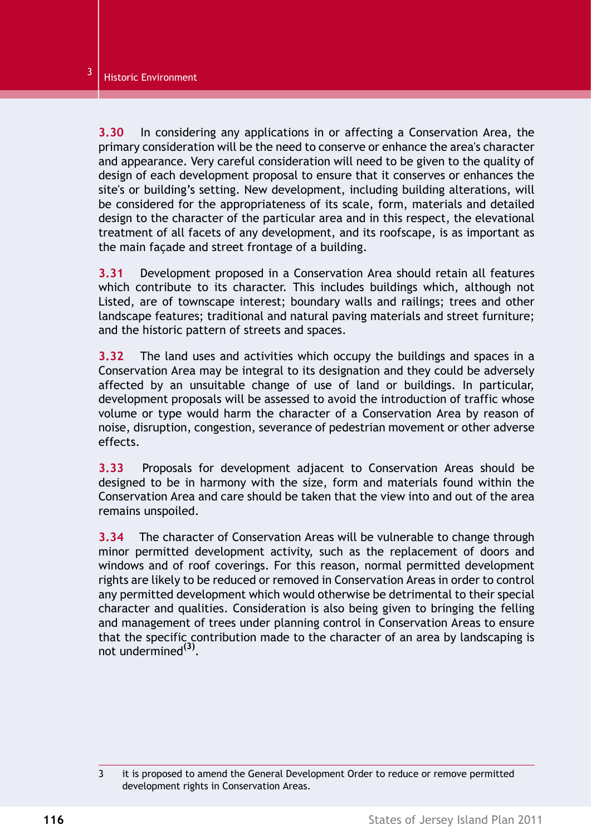**3.30** In considering any applications in or affecting a Conservation Area, the primary consideration will be the need to conserve or enhance the area's character and appearance. Very careful consideration will need to be given to the quality of design of each development proposal to ensure that it conserves or enhances the site's or building's setting. New development, including building alterations, will be considered for the appropriateness of its scale, form, materials and detailed design to the character of the particular area and in this respect, the elevational treatment of all facets of any development, and its roofscape, is as important as the main façade and street frontage of a building.

**3.31** Development proposed in a Conservation Area should retain all features which contribute to its character. This includes buildings which, although not Listed, are of townscape interest; boundary walls and railings; trees and other landscape features; traditional and natural paving materials and street furniture; and the historic pattern of streets and spaces.

**3.32** The land uses and activities which occupy the buildings and spaces in a Conservation Area may be integral to its designation and they could be adversely affected by an unsuitable change of use of land or buildings. In particular, development proposals will be assessed to avoid the introduction of traffic whose volume or type would harm the character of a Conservation Area by reason of noise, disruption, congestion, severance of pedestrian movement or other adverse effects.

**3.33** Proposals for development adjacent to Conservation Areas should be designed to be in harmony with the size, form and materials found within the Conservation Area and care should be taken that the view into and out of the area remains unspoiled.

**3.34** The character of Conservation Areas will be vulnerable to change through minor permitted development activity, such as the replacement of doors and windows and of roof coverings. For this reason, normal permitted development rights are likely to be reduced or removed in Conservation Areas in order to control any permitted development which would otherwise be detrimental to their special character and qualities. Consideration is also being given to bringing the felling and management of trees under planning control in Conservation Areas to ensure that the specific contribution made to the character of an area by landscaping is not undermined**(3)** .

<sup>3</sup> it is proposed to amend the General Development Order to reduce or remove permitted development rights in Conservation Areas.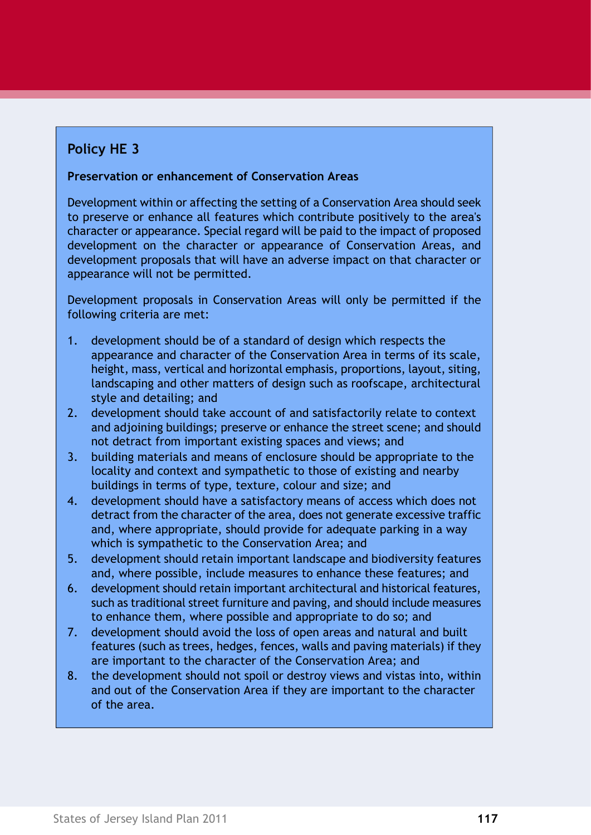# **Policy HE 3**

#### **Preservation or enhancement of Conservation Areas**

Development within or affecting the setting of a Conservation Area should seek to preserve or enhance all features which contribute positively to the area's character or appearance. Special regard will be paid to the impact of proposed development on the character or appearance of Conservation Areas, and development proposals that will have an adverse impact on that character or appearance will not be permitted.

Development proposals in Conservation Areas will only be permitted if the following criteria are met:

- 1. development should be of a standard of design which respects the appearance and character of the Conservation Area in terms of its scale, height, mass, vertical and horizontal emphasis, proportions, layout, siting, landscaping and other matters of design such as roofscape, architectural style and detailing; and
- 2. development should take account of and satisfactorily relate to context and adjoining buildings; preserve or enhance the street scene; and should not detract from important existing spaces and views; and
- 3. building materials and means of enclosure should be appropriate to the locality and context and sympathetic to those of existing and nearby buildings in terms of type, texture, colour and size; and
- 4. development should have a satisfactory means of access which does not detract from the character of the area, does not generate excessive traffic and, where appropriate, should provide for adequate parking in a way which is sympathetic to the Conservation Area; and
- 5. development should retain important landscape and biodiversity features and, where possible, include measures to enhance these features; and
- 6. development should retain important architectural and historical features, such as traditional street furniture and paving, and should include measures to enhance them, where possible and appropriate to do so; and
- 7. development should avoid the loss of open areas and natural and built features (such as trees, hedges, fences, walls and paving materials) if they are important to the character of the Conservation Area; and
- 8. the development should not spoil or destroy views and vistas into, within and out of the Conservation Area if they are important to the character of the area.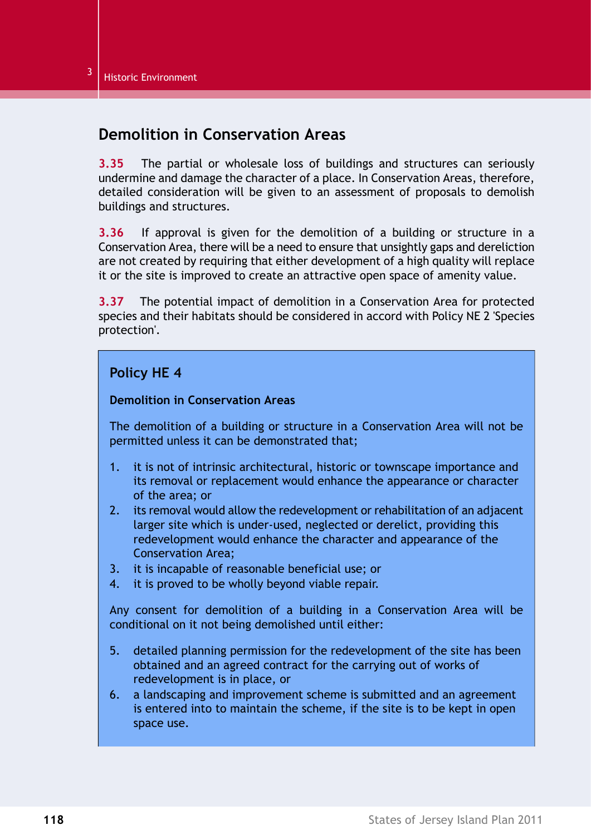## **Demolition in Conservation Areas**

**3.35** The partial or wholesale loss of buildings and structures can seriously undermine and damage the character of a place. In Conservation Areas, therefore, detailed consideration will be given to an assessment of proposals to demolish buildings and structures.

**3.36** If approval is given for the demolition of a building or structure in a Conservation Area, there will be a need to ensure that unsightly gaps and dereliction are not created by requiring that either development of a high quality will replace it or the site is improved to create an attractive open space of amenity value.

**3.37** The potential impact of demolition in a Conservation Area for protected species and their habitats should be considered in accord with Policy NE 2 'Species protection'.

### **Policy HE 4**

#### **Demolition in Conservation Areas**

The demolition of a building or structure in a Conservation Area will not be permitted unless it can be demonstrated that;

- 1. it is not of intrinsic architectural, historic or townscape importance and its removal or replacement would enhance the appearance or character of the area; or
- 2. its removal would allow the redevelopment or rehabilitation of an adjacent larger site which is under-used, neglected or derelict, providing this redevelopment would enhance the character and appearance of the Conservation Area;
- 3. it is incapable of reasonable beneficial use; or
- 4. it is proved to be wholly beyond viable repair.

Any consent for demolition of a building in a Conservation Area will be conditional on it not being demolished until either:

- 5. detailed planning permission for the redevelopment of the site has been obtained and an agreed contract for the carrying out of works of redevelopment is in place, or
- 6. a landscaping and improvement scheme is submitted and an agreement is entered into to maintain the scheme, if the site is to be kept in open space use.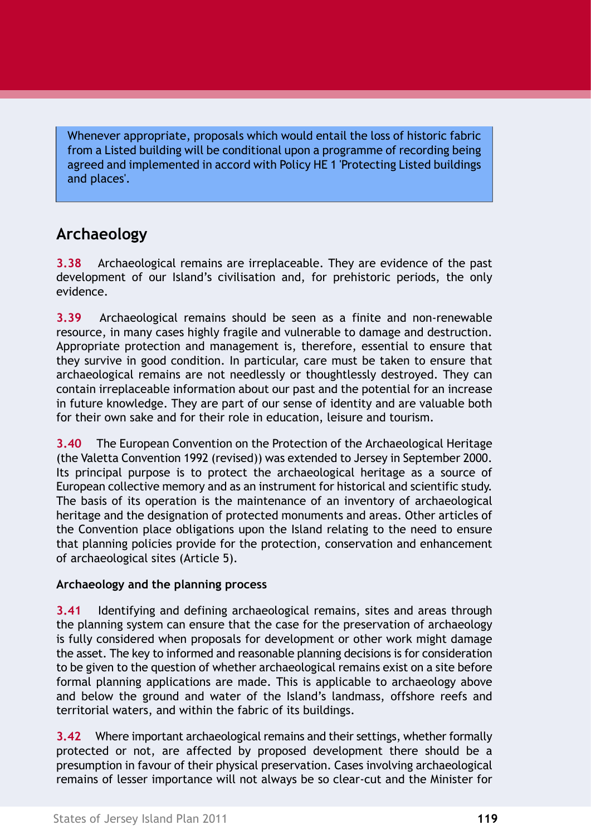Whenever appropriate, proposals which would entail the loss of historic fabric from a Listed building will be conditional upon a programme of recording being agreed and implemented in accord with Policy HE 1 ['Protecting](#page-5-0) Listed buildings and [places'.](#page-5-0)

# **Archaeology**

**3.38** Archaeological remains are irreplaceable. They are evidence of the past development of our Island's civilisation and, for prehistoric periods, the only evidence.

**3.39** Archaeological remains should be seen as a finite and non-renewable resource, in many cases highly fragile and vulnerable to damage and destruction. Appropriate protection and management is, therefore, essential to ensure that they survive in good condition. In particular, care must be taken to ensure that archaeological remains are not needlessly or thoughtlessly destroyed. They can contain irreplaceable information about our past and the potential for an increase in future knowledge. They are part of our sense of identity and are valuable both for their own sake and for their role in education, leisure and tourism.

**3.40** The European Convention on the Protection of the Archaeological Heritage (the Valetta Convention 1992 (revised)) was extended to Jersey in September 2000. Its principal purpose is to protect the archaeological heritage as a source of European collective memory and as an instrument for historical and scientific study. The basis of its operation is the maintenance of an inventory of archaeological heritage and the designation of protected monuments and areas. Other articles of the Convention place obligations upon the Island relating to the need to ensure that planning policies provide for the protection, conservation and enhancement of archaeological sites (Article 5).

### **Archaeology and the planning process**

**3.41** Identifying and defining archaeological remains, sites and areas through the planning system can ensure that the case for the preservation of archaeology is fully considered when proposals for development or other work might damage the asset. The key to informed and reasonable planning decisions is for consideration to be given to the question of whether archaeological remains exist on a site before formal planning applications are made. This is applicable to archaeology above and below the ground and water of the Island's landmass, offshore reefs and territorial waters, and within the fabric of its buildings.

**3.42** Where important archaeological remains and their settings, whether formally protected or not, are affected by proposed development there should be a presumption in favour of their physical preservation. Cases involving archaeological remains of lesser importance will not always be so clear-cut and the Minister for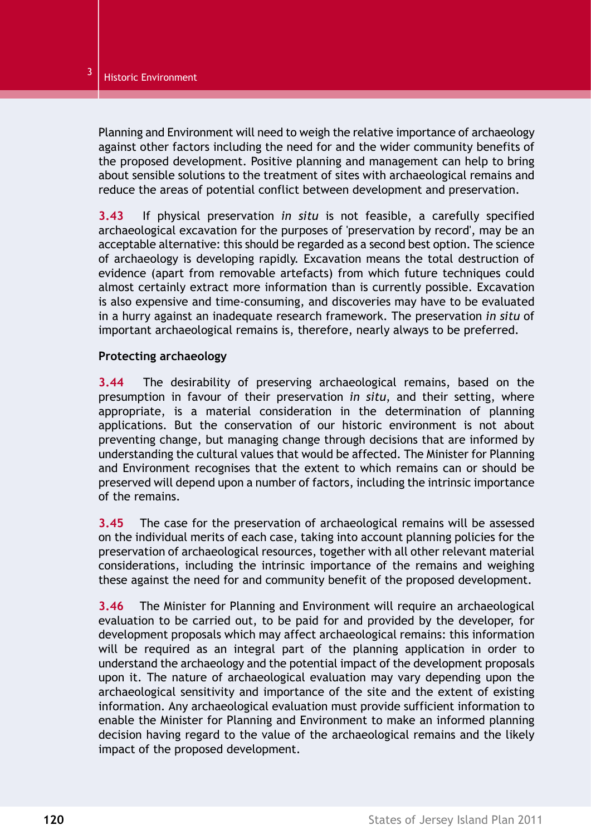Planning and Environment will need to weigh the relative importance of archaeology against other factors including the need for and the wider community benefits of the proposed development. Positive planning and management can help to bring about sensible solutions to the treatment of sites with archaeological remains and reduce the areas of potential conflict between development and preservation.

**3.43** If physical preservation *in situ* is not feasible, a carefully specified archaeological excavation for the purposes of 'preservation by record', may be an acceptable alternative: this should be regarded as a second best option. The science of archaeology is developing rapidly. Excavation means the total destruction of evidence (apart from removable artefacts) from which future techniques could almost certainly extract more information than is currently possible. Excavation is also expensive and time-consuming, and discoveries may have to be evaluated in a hurry against an inadequate research framework. The preservation *in situ* of important archaeological remains is, therefore, nearly always to be preferred.

#### **Protecting archaeology**

**3.44** The desirability of preserving archaeological remains, based on the presumption in favour of their preservation *in situ*, and their setting, where appropriate, is a material consideration in the determination of planning applications. But the conservation of our historic environment is not about preventing change, but managing change through decisions that are informed by understanding the cultural values that would be affected. The Minister for Planning and Environment recognises that the extent to which remains can or should be preserved will depend upon a number of factors, including the intrinsic importance of the remains.

**3.45** The case for the preservation of archaeological remains will be assessed on the individual merits of each case, taking into account planning policies for the preservation of archaeological resources, together with all other relevant material considerations, including the intrinsic importance of the remains and weighing these against the need for and community benefit of the proposed development.

**3.46** The Minister for Planning and Environment will require an archaeological evaluation to be carried out, to be paid for and provided by the developer, for development proposals which may affect archaeological remains: this information will be required as an integral part of the planning application in order to understand the archaeology and the potential impact of the development proposals upon it. The nature of archaeological evaluation may vary depending upon the archaeological sensitivity and importance of the site and the extent of existing information. Any archaeological evaluation must provide sufficient information to enable the Minister for Planning and Environment to make an informed planning decision having regard to the value of the archaeological remains and the likely impact of the proposed development.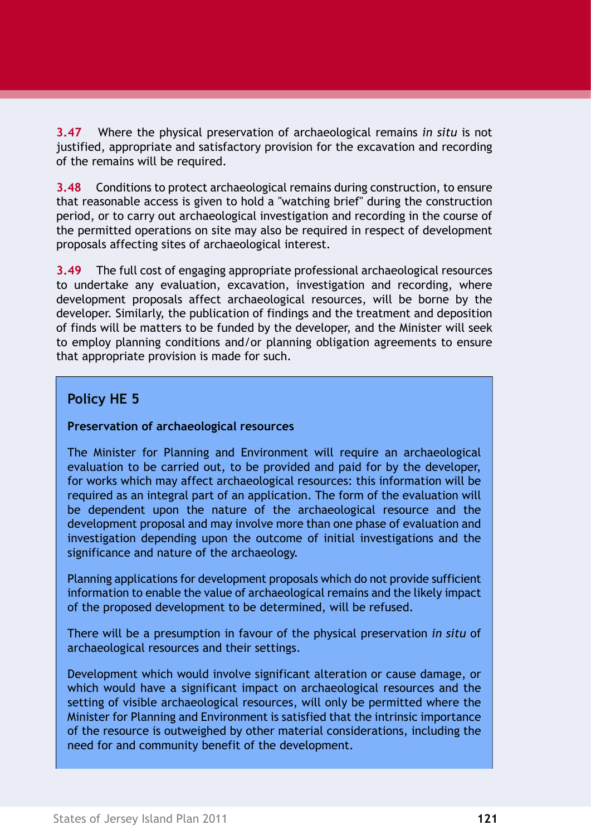**3.47** Where the physical preservation of archaeological remains *in situ* is not justified, appropriate and satisfactory provision for the excavation and recording of the remains will be required.

**3.48** Conditions to protect archaeological remains during construction, to ensure that reasonable access is given to hold a "watching brief" during the construction period, or to carry out archaeological investigation and recording in the course of the permitted operations on site may also be required in respect of development proposals affecting sites of archaeological interest.

**3.49** The full cost of engaging appropriate professional archaeological resources to undertake any evaluation, excavation, investigation and recording, where development proposals affect archaeological resources, will be borne by the developer. Similarly, the publication of findings and the treatment and deposition of finds will be matters to be funded by the developer, and the Minister will seek to employ planning conditions and/or planning obligation agreements to ensure that appropriate provision is made for such.

### **Policy HE 5**

#### **Preservation of archaeological resources**

The Minister for Planning and Environment will require an archaeological evaluation to be carried out, to be provided and paid for by the developer, for works which may affect archaeological resources: this information will be required as an integral part of an application. The form of the evaluation will be dependent upon the nature of the archaeological resource and the development proposal and may involve more than one phase of evaluation and investigation depending upon the outcome of initial investigations and the significance and nature of the archaeology.

Planning applications for development proposals which do not provide sufficient information to enable the value of archaeological remains and the likely impact of the proposed development to be determined, will be refused.

There will be a presumption in favour of the physical preservation *in situ* of archaeological resources and their settings.

Development which would involve significant alteration or cause damage, or which would have a significant impact on archaeological resources and the setting of visible archaeological resources, will only be permitted where the Minister for Planning and Environment is satisfied that the intrinsic importance of the resource is outweighed by other material considerations, including the need for and community benefit of the development.